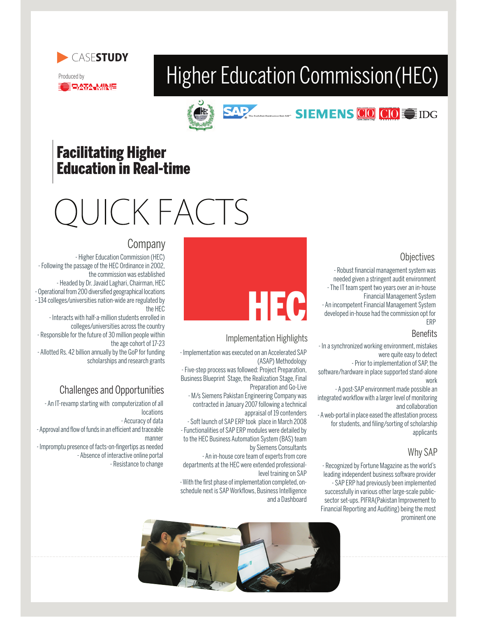# Higher Education Commission(HEC)





## Facilitating Higher Education in Real-time

CASE**STUDY**

**9272 MNF** 

Produced by

# **UICK FACTS**

#### **Objectives**

- Robust financial management system was needed given a stringent audit environment - The IT team spent two years over an in-house Financial Management System - An incompetent Financial Management System developed in-house had the commission opt for ERP

#### Benefits

- In a synchronized working environment, mistakes were quite easy to detect

- Prior to implementation of SAP, the

software/hardware in place supported stand-alone work

- A post-SAP environment made possible an integrated workflow with a larger level of monitoring and collaboration

- A web-portal in place eased the attestation process for students, and filing/sorting of scholarship applicants

#### Why SAP

- Recognized by Fortune Magazine as the world's leading independent business software provider - SAP ERP had previously been implemented successfully in various other large-scale publicsector set-ups. PIFRA(Pakistan Improvement to Financial Reporting and Auditing) being the most prominent one



#### Implementation Highlights

- Implementation was executed on an Accelerated SAP (ASAP) Methodology

- Five-step process was followed: Project Preparation, Business Blueprint Stage, the Realization Stage, Final Preparation and Go-Live

- M/s Siemens Pakistan Engineering Company was contracted in January 2007 following a technical appraisal of 19 contenders

- Soft launch of SAP ERP took place in March 2008 - Functionalities of SAP ERP modules were detailed by to the HEC Business Automation System (BAS) team by Siemens Consultants

- An in-house core team of experts from core departments at the HEC were extended professionallevel training on SAP

- With the first phase of implementation completed, onschedule next is SAP Workflows, Business Intelligence and a Dashboard

#### Company

- Higher Education Commission (HEC) - Following the passage of the HEC Ordinance in 2002, the commission was established - Headed by Dr. Javaid Laghari, Chairman, HEC - Operational from 200 diversified geographical locations - 134 colleges/universities nation-wide are regulated by the HEC

- Interacts with half-a-million students enrolled in colleges/universities across the country - Responsible for the future of 30 million people within the age cohort of 17-23 - Allotted Rs. 42 billion annually by the GoP for funding

scholarships and research grants

### Challenges and Opportunities

- An IT-revamp starting with computerization of all locations - Accuracy of data

- Approval and flow of funds in an efficient and traceable manner

- Impromptu presence of facts-on-fingertips as needed - Absence of interactive online portal - Resistance to change

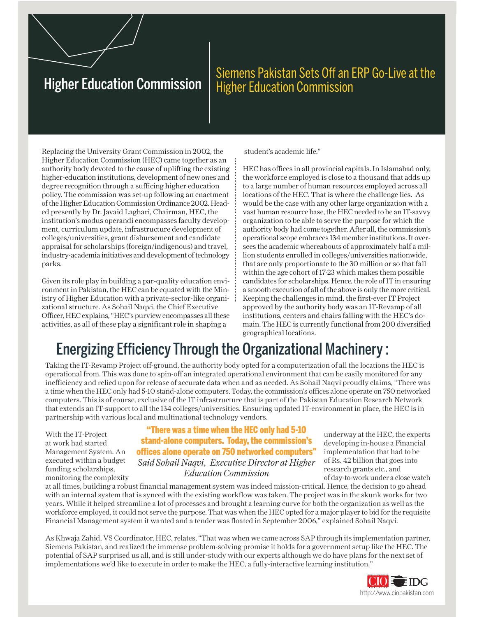## **Higher Education Commission**

# Siemens Pakistan Sets Off an ERP Go-Live at the<br>Higher Education Commission

Replacing the University Grant Commission in 2002, the Higher Education Commission (HEC) came together as an authority body devoted to the cause of uplifting the existing higher-education institutions, development of new ones and degree recognition through a sufficing higher education policy. The commission was set-up following an enactment of the Higher Education Commission Ordinance 2002. Headed presently by Dr. Javaid Laghari, Chairman, HEC, the institution's modus operandi encompasses faculty development, curriculum update, infrastructure development of colleges/universities, grant disbursement and candidate appraisal for scholarships (foreign/indigenous) and travel, industry-academia initiatives and development of technology parks.

Given its role play in building a par-quality education environment in Pakistan, the HEC can be equated with the Ministry of Higher Education with a private-sector-like organizational structure. As Sohail Naqvi, the Chief Executive Officer, HEC explains, "HEC's purview encompasses all these activities, as all of these play a significant role in shaping a

student's academic life."

HEC has offices in all provincial capitals. In Islamabad only, the workforce employed is close to a thousand that adds up to a large number of human resources employed across all locations of the HEC. That is where the challenge lies. As would be the case with any other large organization with a vast human resource base, the HEC needed to be an IT-savvy organization to be able to serve the purpose for which the authority body had come together. After all, the commission's operational scope embraces 134 member institutions. It oversees the academic whereabouts of approximately half a million students enrolled in colleges/universities nationwide, that are only proportionate to the 30 million or so that fall within the age cohort of 17-23 which makes them possible candidates for scholarships. Hence, the role of IT in ensuring a smooth execution of all of the above is only the more critical. Keeping the challenges in mind, the first-ever IT Project approved by the authority body was an IT-Revamp of all institutions, centers and chairs falling with the HEC's domain. The HEC is currently functional from 200 diversified geographical locations.

# Energizing Efficiency Through the Organizational Machinery :

Taking the IT-Revamp Project off-ground, the authority body opted for a computerization of all the locations the HEC is operational from. This was done to spin-off an integrated operational environment that can be easily monitored for any inefficiency and relied upon for release of accurate data when and as needed. As Sohail Naqvi proudly claims, There was a time when the HEC only had 5-10 stand-alone computers. Today, the commission's offices alone operate on 750 networked computers. This is of course, exclusive of the IT infrastructure that is part of the Pakistan Education Research Network that extends an IT-support to all the 134 colleges/universities. Ensuring updated IT-environment in place, the HEC is in partnership with various local and multinational technology vendors.

monitoring the complexity **EQUALCONSTERNATION** 

#### With the IT-Project **underway at the With the IT-Project** underway at the HEC, the experts at work had started **stand-alone computers. Today, the commission's** developing in-house a Financial Management System. An articles alone operate on 750 networked computers" implementation that had to be executed within a budget Said Sohail Naqvi, Executive Director at Higher of Rs. 42 billion that goes into funding scholarships,  $\begin{bmatrix} r & r & r \end{bmatrix}$  research grants etc., and There was a time when the HEC only had 5-10 *Education Commission*

at all times, building a robust financial management system was indeed mission-critical. Hence, the decision to go ahead with an internal system that is synced with the existing workflow was taken. The project was in the skunk works for two years. While it helped streamline a lot of processes and brought a learning curve for both the organization as well as the workforce employed, it could not serve the purpose. That was when the HEC opted for a major player to bid for the requisite Financial Management system it wanted and a tender was floated in September 2006," explained Sohail Naqvi.

As Khwaja Zahid, VS Coordinator, HEC, relates, "That was when we came across SAP through its implementation partner, Siemens Pakistan, and realized the immense problem-solving promise it holds for a government setup like the HEC. The potential of SAP surprised us all, and is still under-study with our experts although we do have plans for the next set of implementations wed like to execute in order to make the HEC, a fully-interactive learning institution.

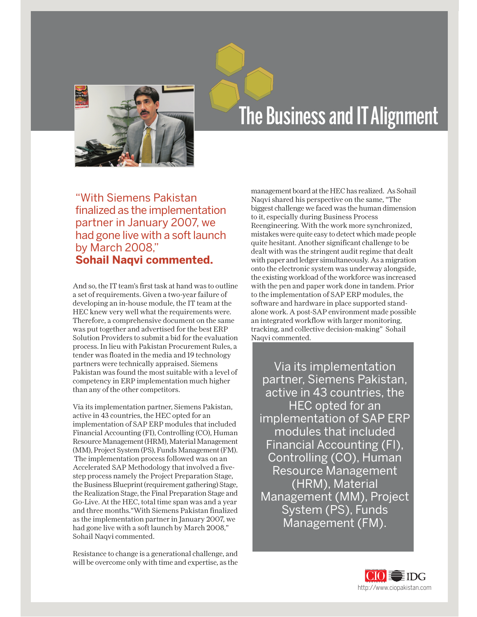

# The Business and IT Alignment

With Siemens Pakistan finalized as the implementation partner in January 2007, we had gone live with a soft launch by March 2008, **Sohail Naqvi commented.**

And so, the IT team's first task at hand was to outline a set of requirements. Given a two-year failure of developing an in-house module, the IT team at the HEC knew very well what the requirements were. Therefore, a comprehensive document on the same was put together and advertised for the best ERP Solution Providers to submit a bid for the evaluation process. In lieu with Pakistan Procurement Rules, a tender was floated in the media and 19 technology partners were technically appraised. Siemens Pakistan was found the most suitable with a level of competency in ERP implementation much higher than any of the other competitors.

Via its implementation partner, Siemens Pakistan, active in 43 countries, the HEC opted for an implementation of SAP ERP modules that included Financial Accounting (FI), Controlling (CO), Human Resource Management (HRM), Material Management (MM), Project System (PS), Funds Management (FM). The implementation process followed was on an Accelerated SAP Methodology that involved a fivestep process namely the Project Preparation Stage, the Business Blueprint (requirement gathering) Stage, the Realization Stage, the Final Preparation Stage and Go-Live. At the HEC, total time span was and a year and three months."With Siemens Pakistan finalized as the implementation partner in January 2007, we had gone live with a soft launch by March 2008, Sohail Naqvi commented.

Resistance to change is a generational challenge, and will be overcome only with time and expertise, as the management board at the HEC has realized. As Sohail Naqvi shared his perspective on the same, The biggest challenge we faced was the human dimension to it, especially during Business Process Reengineering. With the work more synchronized, mistakes were quite easy to detect which made people quite hesitant. Another significant challenge to be dealt with was the stringent audit regime that dealt with paper and ledger simultaneously. As a migration onto the electronic system was underway alongside, the existing workload of the workforce was increased with the pen and paper work done in tandem. Prior to the implementation of SAP ERP modules, the software and hardware in place supported standalone work. A post-SAP environment made possible an integrated workflow with larger monitoring, tracking, and collective decision-making" Sohail Naqvi commented.

Via its implementation partner, Siemens Pakistan, active in 43 countries, the HEC opted for an implementation of SAP ERP modules that included Financial Accounting (FI), Controlling (CO), Human Resource Management (HRM), Material Management (MM), Project System (PS), Funds Management (FM).